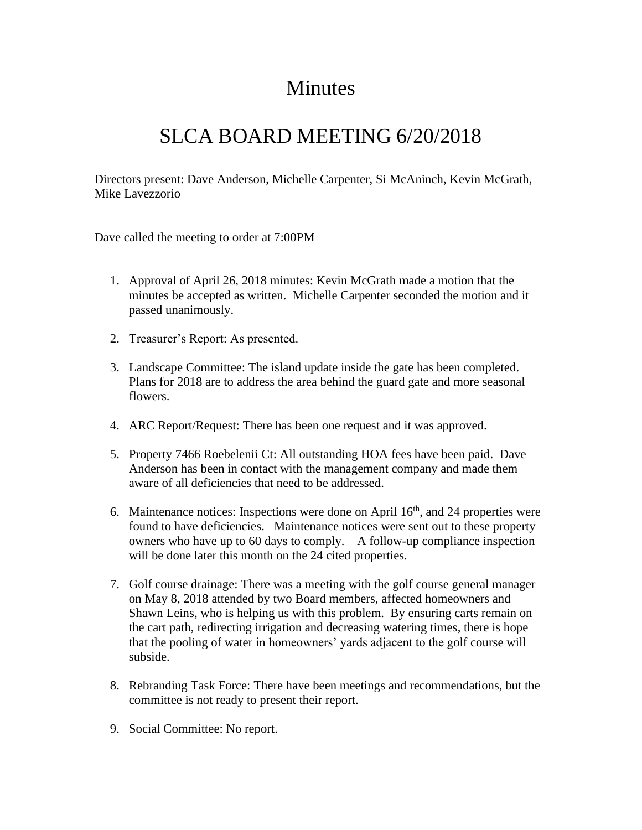## Minutes

## SLCA BOARD MEETING 6/20/2018

Directors present: Dave Anderson, Michelle Carpenter, Si McAninch, Kevin McGrath, Mike Lavezzorio

Dave called the meeting to order at 7:00PM

- 1. Approval of April 26, 2018 minutes: Kevin McGrath made a motion that the minutes be accepted as written. Michelle Carpenter seconded the motion and it passed unanimously.
- 2. Treasurer's Report: As presented.
- 3. Landscape Committee: The island update inside the gate has been completed. Plans for 2018 are to address the area behind the guard gate and more seasonal flowers.
- 4. ARC Report/Request: There has been one request and it was approved.
- 5. Property 7466 Roebelenii Ct: All outstanding HOA fees have been paid. Dave Anderson has been in contact with the management company and made them aware of all deficiencies that need to be addressed.
- 6. Maintenance notices: Inspections were done on April  $16<sup>th</sup>$ , and 24 properties were found to have deficiencies. Maintenance notices were sent out to these property owners who have up to 60 days to comply. A follow-up compliance inspection will be done later this month on the 24 cited properties.
- 7. Golf course drainage: There was a meeting with the golf course general manager on May 8, 2018 attended by two Board members, affected homeowners and Shawn Leins, who is helping us with this problem. By ensuring carts remain on the cart path, redirecting irrigation and decreasing watering times, there is hope that the pooling of water in homeowners' yards adjacent to the golf course will subside.
- 8. Rebranding Task Force: There have been meetings and recommendations, but the committee is not ready to present their report.
- 9. Social Committee: No report.